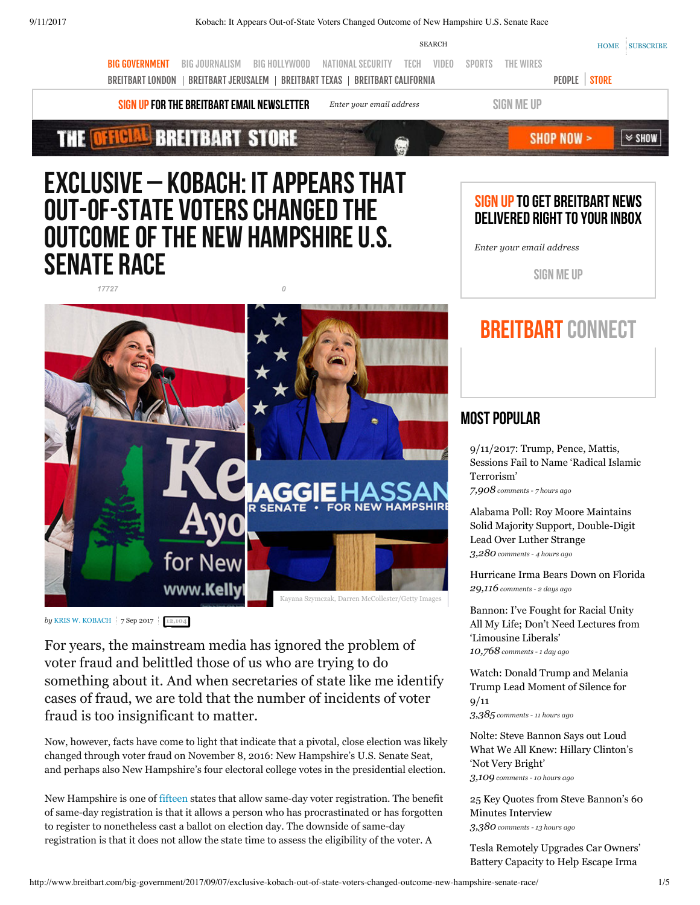

# Exclusive – Kobach: It Appears That Out-of-State Voters Changed the Outcome of the New Hampshire U.S. **SENATE RACE**



*by* **[KRIS W. KOBACH](http://www.breitbart.com/author/kriskobach/) 7 Sep 2017 [12,104](#page-3-0)** 

For years, the mainstream media has ignored the problem of voter fraud and belittled those of us who are trying to do something about it. And when secretaries of state like me identify cases of fraud, we are told that the number of incidents of voter fraud is too insignificant to matter.

Now, however, facts have come to light that indicate that a pivotal, close election was likely changed through voter fraud on November 8, 2016: New Hampshire's U.S. Senate Seat, and perhaps also New Hampshire's four electoral college votes in the presidential election.

New Hampshire is one of [fifteen](http://www.ncsl.org/research/elections-and-campaigns/same-day-registration.aspx) states that allow same-day voter registration. The benefit of same-day registration is that it allows a person who has procrastinated or has forgotten to register to nonetheless cast a ballot on election day. The downside of same-day registration is that it does not allow the state time to assess the eligibility of the voter. A

# SIGN UP TO GET BREITBART NEWS DELIVERED RIGHT TO YOUR INBOX

*Enter your email address*

SIGN ME UP

# BREITBART CONNECT

# MOST POPULAR

9/11/2017: Trump, Pence, Mattis, [Sessions Fail to Name 'Radical Islamic](http://www.breitbart.com/jerusalem/2017/09/11/9112017-trump-pence-mattis-sessions-fail-to-name-radical-islamic-terrorism/) Terrorism' *[7,908](http://www.breitbart.com/jerusalem/2017/09/11/9112017-trump-pence-mattis-sessions-fail-to-name-radical-islamic-terrorism/#disqus_thread) comments 7 hours ago*

Alabama Poll: Roy Moore Maintains [Solid Majority Support, Double-Digit](http://www.breitbart.com/big-government/2017/09/11/alabama-poll-roy-moore-maintains-solid-majority-support-double-digit-lead-over-luther-strange/) Lead Over Luther Strange *[3,280](http://www.breitbart.com/big-government/2017/09/11/alabama-poll-roy-moore-maintains-solid-majority-support-double-digit-lead-over-luther-strange/#disqus_thread) comments 4 hours ago*

[Hurricane Irma Bears Down on Florida](http://www.breitbart.com/big-government/2017/09/09/hurricane-irma-bears-florida/) *[29,116](http://www.breitbart.com/big-government/2017/09/09/hurricane-irma-bears-florida/#disqus_thread) comments 2 days ago*

Bannon: I've Fought for Racial Unity [All My Life; Don't Need Lectures from](http://www.breitbart.com/big-government/2017/09/10/bannon-ive-fought-for-racial-unity-all-my-life-dont-need-lectures-from-limousine-liberals/) 'Limousine Liberals' *[10,768](http://www.breitbart.com/big-government/2017/09/10/bannon-ive-fought-for-racial-unity-all-my-life-dont-need-lectures-from-limousine-liberals/#disqus_thread) comments 1 day ago*

[Watch: Donald Trump and Melania](http://www.breitbart.com/big-government/2017/09/11/donald-trump-and-melania-trump-lead-moment-of-silence-for-911/) Trump Lead Moment of Silence for

9/11

*[3,385](http://www.breitbart.com/big-government/2017/09/11/donald-trump-and-melania-trump-lead-moment-of-silence-for-911/#disqus_thread) comments 11 hours ago*

Nolte: Steve Bannon Says out Loud [What We All Knew: Hillary Clinton's](http://www.breitbart.com/2016-presidential-race/2017/09/11/nolte-bannon-says-loud-knew-hillary-clintons-not-bright/) 'Not Very Bright' *[3,109](http://www.breitbart.com/2016-presidential-race/2017/09/11/nolte-bannon-says-loud-knew-hillary-clintons-not-bright/#disqus_thread) comments 10 hours ago*

[25 Key Quotes from Steve Bannon's 60](http://www.breitbart.com/big-government/2017/09/11/25-key-quotes-steve-bannons-60-minutes-interview/) Minutes Interview *[3,380](http://www.breitbart.com/big-government/2017/09/11/25-key-quotes-steve-bannons-60-minutes-interview/#disqus_thread) comments 13 hours ago*

[Tesla Remotely Upgrades Car Owners'](http://www.breitbart.com/tech/2017/09/11/tesla-remotely-upgrades-car-owners-battery-capacity-to-help-escape-irma/) Battery Capacity to Help Escape Irma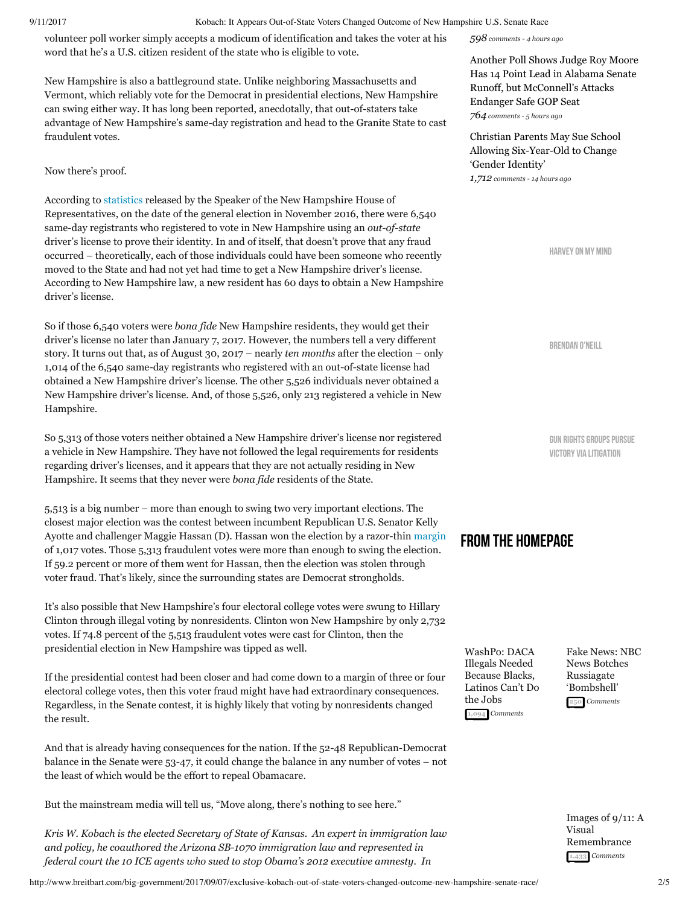volunteer poll worker simply accepts a modicum of identification and takes the voter at his word that he's a U.S. citizen resident of the state who is eligible to vote.

New Hampshire is also a battleground state. Unlike neighboring Massachusetts and Vermont, which reliably vote for the Democrat in presidential elections, New Hampshire can swing either way. It has long been reported, anecdotally, that out-of-staters take advantage of New Hampshire's same-day registration and head to the Granite State to cast fraudulent votes.

### Now there's proof.

According to [statistics](http://www.washingtontimes.com/news/2017/sep/7/voter-fraud-alert-over-5000-new-hampshire-presiden/) released by the Speaker of the New Hampshire House of Representatives, on the date of the general election in November 2016, there were 6,540 same-day registrants who registered to vote in New Hampshire using an *out-of-state* driver's license to prove their identity. In and of itself, that doesn't prove that any fraud occurred – theoretically, each of those individuals could have been someone who recently moved to the State and had not yet had time to get a New Hampshire driver's license. According to New Hampshire law, a new resident has 60 days to obtain a New Hampshire driver's license.

So if those 6,540 voters were *bona fide* New Hampshire residents, they would get their driver's license no later than January 7, 2017. However, the numbers tell a very different story. It turns out that, as of August 30, 2017 – nearly *ten months* after the election – only 1,014 of the 6,540 same-day registrants who registered with an out-of-state license had obtained a New Hampshire driver's license. The other 5,526 individuals never obtained a New Hampshire driver's license. And, of those 5,526, only 213 registered a vehicle in New Hampshire.

So 5,313 of those voters neither obtained a New Hampshire driver's license nor registered a vehicle in New Hampshire. They have not followed the legal requirements for residents regarding driver's licenses, and it appears that they are not actually residing in New Hampshire. It seems that they never were *bona fide* residents of the State.

5,513 is a big number – more than enough to swing two very important elections. The closest major election was the contest between incumbent Republican U.S. Senator Kelly Ayotte and challenger Maggie Hassan (D). Hassan won the election by a razor-thin [margin](http://sos.nh.gov/2016USSGen.aspx?id=8589963690) of 1,017 votes. Those 5,313 fraudulent votes were more than enough to swing the election. If 59.2 percent or more of them went for Hassan, then the election was stolen through voter fraud. That's likely, since the surrounding states are Democrat strongholds.

It's also possible that New Hampshire's four electoral college votes were swung to Hillary Clinton through illegal voting by nonresidents. Clinton won New Hampshire by only 2,732 votes. If 74.8 percent of the 5,513 fraudulent votes were cast for Clinton, then the presidential election in New Hampshire was tipped as well.

If the presidential contest had been closer and had come down to a margin of three or four electoral college votes, then this voter fraud might have had extraordinary consequences. Regardless, in the Senate contest, it is highly likely that voting by nonresidents changed the result.

And that is already having consequences for the nation. If the 52-48 Republican-Democrat balance in the Senate were 53-47, it could change the balance in any number of votes – not the least of which would be the effort to repeal Obamacare.

But the mainstream media will tell us, "Move along, there's nothing to see here."

*Kris W. Kobach is the elected Secretary of State of Kansas. An expert in immigration law and policy, he coauthored the Arizona SB1070 immigration law and represented in federal court the 10 ICE agents who sued to stop Obama's 2012 executive amnesty. In*

*[598](http://www.breitbart.com/tech/2017/09/11/tesla-remotely-upgrades-car-owners-battery-capacity-to-help-escape-irma/#disqus_thread) comments 4 hours ago*

[Another Poll Shows Judge Roy Moore](http://www.breitbart.com/big-government/2017/09/11/another-poll-shows-judge-roy-moore-has-14-point-lead-in-alabama-senate-runoff-but-mcconnells-attacks-endanger-safe-gop-seat/) Has 14 Point Lead in Alabama Senate Runoff, but McConnell's Attacks Endanger Safe GOP Seat *[764](http://www.breitbart.com/big-government/2017/09/11/another-poll-shows-judge-roy-moore-has-14-point-lead-in-alabama-senate-runoff-but-mcconnells-attacks-endanger-safe-gop-seat/#disqus_thread) comments 5 hours ago*

[Christian Parents May Sue School](http://www.breitbart.com/london/2017/09/11/christian-parents-sue-school-six-year-old-change-gender-identity/) Allowing Six-Year-Old to Change 'Gender Identity'

*[1,712](http://www.breitbart.com/london/2017/09/11/christian-parents-sue-school-six-year-old-change-gender-identity/#disqus_thread) comments 14 hours ago*

[Harvey on My Mind](http://www.breitbart.com/podcasts/sonnie-johnson/)

[Brendan O'Neill](http://www.breitbart.com/podcasts/james-delingpole/)

[Gun Rights Groups Pursue](http://www.breitbart.com/podcasts/awr-hawkins/) Victory via Litigation

## FROM THE HOMEPAGE

WashPo: DACA Illegals Needed Because Blacks, [Latinos Can't Do](http://www.breitbart.com/big-government/2017/09/11/washpo-daca-illegals-needed-blacks-latinos-cant-jobs/) the Jobs **[1,094](http://www.breitbart.com/big-government/2017/09/11/washpo-daca-illegals-needed-blacks-latinos-cant-jobs/#disqus_thread)**  *Comments*

[Fake News: NBC](http://www.breitbart.com/big-journalism/2017/09/11/fake-news-nbc-news-botches-russiagate-bombshell/) News Botches Russiagate 'Bombshell' **[250](http://www.breitbart.com/big-journalism/2017/09/11/fake-news-nbc-news-botches-russiagate-bombshell/#disqus_thread)**  *Comments*

[Images of 9/11: A](http://www.breitbart.com/big-government/2016/09/11/images-911-visual-remembrance/) Visual Remembrance **[1,433](http://www.breitbart.com/big-government/2016/09/11/images-911-visual-remembrance/#disqus_thread)**  *Comments*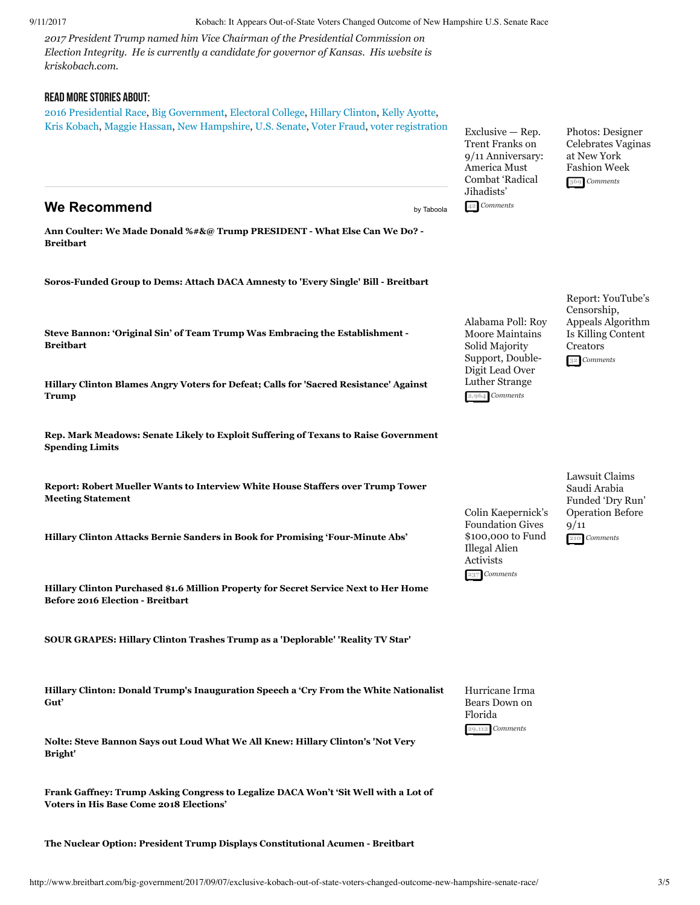*2017 President Trump named him Vice Chairman of the Presidential Commission on Election Integrity. He is currently a candidate for governor of Kansas. His website is kriskobach.com.*

### Read More Stories About:

[2016 Presidential Race](http://www.breitbart.com/2016-presidential-race/), [Big Government,](http://www.breitbart.com/big-government/) [Electoral College,](http://www.breitbart.com/tag/electoral-college/) [Hillary Clinton,](http://www.breitbart.com/tag/hillary-clinton/) [Kelly Ayotte,](http://www.breitbart.com/tag/kelly-ayotte/) [Kris Kobach](http://www.breitbart.com/tag/kris-kobach/), [Maggie Hassan,](http://www.breitbart.com/tag/maggie-hassan/) [New Hampshire,](http://www.breitbart.com/tag/new-hampshire/) [U.S. Senate,](http://www.breitbart.com/tag/u-s-senate/) [Voter Fraud,](http://www.breitbart.com/tag/voter-fraud/) [voter registration](http://www.breitbart.com/tag/voter-registration/)

**We Recommend** [by Taboola](http://popup.taboola.com/en/?template=colorbox&utm_source=breitbartcom&utm_medium=referral&utm_content=ab_thumbs-2r_abp-mode:Bottom%20Main%20Column:)

**[Ann Coulter: We Made Donald %#&@ Trump PRESIDENT What Else Can We Do?](http://www.breitbart.com/big-government/2017/09/06/ann-coulter-made-donald-trump-president-else-can/)  Breitbart**

**[SorosFunded Group to Dems: Attach DACA Amnesty to 'Every Single' Bill Breitbart](http://www.breitbart.com/big-government/2017/09/07/soros-funded-group-to-dems-attach-daca-amnesty-to-every-single-bill/)**

**[Steve Bannon: 'Original Sin' of Team Trump Was Embracing the Establishment](http://www.breitbart.com/big-government/2017/09/10/steve-bannon-original-sin-team-trump-embracing-establishment/)  Breitbart**

**[Hillary Clinton Blames Angry Voters for Defeat; Calls for 'Sacred Resistance' Against](http://www.breitbart.com/big-government/2017/09/09/clinton-blames-angry-voters-defeat-voters-calls-sacred-resistance-trump/) Trump**

**[Rep. Mark Meadows: Senate Likely to Exploit Suffering of Texans to Raise Government](http://www.breitbart.com/radio/2017/09/05/meadows-senate-likely-exploit-suffering-texans-raise-government-spending-limits/) Spending Limits**

**[Report: Robert Mueller Wants to Interview White House Staffers over Trump Tower](http://www.breitbart.com/big-government/2017/09/07/report-robert-mueller-wants-to-interview-white-house-staffers-over-trump-tower-meeting-statement/) Meeting Statement**

**Hillary Clinton Attacks Bernie Sanders in Book for Promising 'Four-Minute Abs'** 

**[Hillary Clinton Purchased \\$1.6 Million Property for Secret Service Next to Her Home](http://www.breitbart.com/big-government/2017/09/11/hillary-clinton-purchased-property-home-election-secret-service/) Before 2016 Election - Breitbart** 

**[SOUR GRAPES: Hillary Clinton Trashes Trump as a 'Deplorable' 'Reality TV Star'](http://www.breitbart.com/big-government/2017/09/10/sour-grapes-hillary-clinton-trashes-trump-deplorable-reality-tv-star/)**

**[Hillary Clinton: Donald Trump's Inauguration Speech a 'Cry From the White Nationalist](http://www.breitbart.com/big-government/2017/09/10/hillary-clinton-donald-trumps-inauguration-speech-a-cry-from-the-white-nationalist-gut/) Gut'**

**[Nolte: Steve Bannon Says out Loud What We All Knew: Hillary Clinton's 'Not Very](http://www.breitbart.com/2016-presidential-race/2017/09/11/nolte-bannon-says-loud-knew-hillary-clintons-not-bright/) Bright'**

**[Frank Gaffney: Trump Asking Congress to Legalize DACA Won't 'Sit Well with a Lot of](http://www.breitbart.com/radio/2017/09/06/gaffney-trump-asking-congress-legalize-daca-wont-sit-well-lot-voters-base-come-2018-elections/) Voters in His Base Come 2018 Elections'**

**[The Nuclear Option: President Trump Displays Constitutional Acumen Breitbart](http://www.breitbart.com/big-government/2017/09/05/nuclear-option-president-trump-displays-constitutional-acumen/)**

Exclusive — Rep. Trent Franks on [9/11 Anniversary:](http://www.breitbart.com/national-security/2017/09/11/exclusive-rep-trent-franks-911-anniversary-america-must-combat-radical-jihadists/) America Must Combat 'Radical Jihadists' **[42](http://www.breitbart.com/national-security/2017/09/11/exclusive-rep-trent-franks-911-anniversary-america-must-combat-radical-jihadists/#disqus_thread)**  *Comments*

Photos: Designer [Celebrates Vaginas](http://www.breitbart.com/big-hollywood/2017/09/11/designer-celebrates-vaginas-new-york-fashion-week/) at New York Fashion Week **[369](http://www.breitbart.com/big-hollywood/2017/09/11/designer-celebrates-vaginas-new-york-fashion-week/#disqus_thread)**  *Comments*

Solid Majority Support, Double-Digit Lead Over Luther Strange **[2,964](http://www.breitbart.com/big-government/2017/09/11/alabama-poll-roy-moore-maintains-solid-majority-support-double-digit-lead-over-luther-strange/#disqus_thread)**  *Comments*

[Alabama Poll: Roy](http://www.breitbart.com/big-government/2017/09/11/alabama-poll-roy-moore-maintains-solid-majority-support-double-digit-lead-over-luther-strange/) Moore Maintains

Censorship, [Appeals Algorithm](http://www.breitbart.com/tech/2017/09/11/report-youtubes-censorship-appeals-algorithm-is-killing-content-creators/) Is Killing Content Creators **[32](http://www.breitbart.com/tech/2017/09/11/report-youtubes-censorship-appeals-algorithm-is-killing-content-creators/#disqus_thread)**  *Comments*

Report: YouTube's

[Colin Kaepernick's](http://www.breitbart.com/sports/2017/09/11/colin-kaepernicks-foundation-gives-100000-to-fund-illegal-alien-activists/) Foundation Gives \$100,000 to Fund Illegal Alien Activists **[237](http://www.breitbart.com/sports/2017/09/11/colin-kaepernicks-foundation-gives-100000-to-fund-illegal-alien-activists/#disqus_thread)**  *Comments*

Lawsuit Claims Saudi Arabia [Funded 'Dry Run'](http://www.breitbart.com/national-security/2017/09/11/lawsuit-saudi-arabia-funded-operation-before-911/) Operation Before 9/11 **[210](http://www.breitbart.com/national-security/2017/09/11/lawsuit-saudi-arabia-funded-operation-before-911/#disqus_thread)**  *Comments*

[Hurricane Irma](http://www.breitbart.com/big-government/2017/09/09/hurricane-irma-bears-florida/) Bears Down on Florida **[29,112](http://www.breitbart.com/big-government/2017/09/09/hurricane-irma-bears-florida/#disqus_thread)**  *Comments*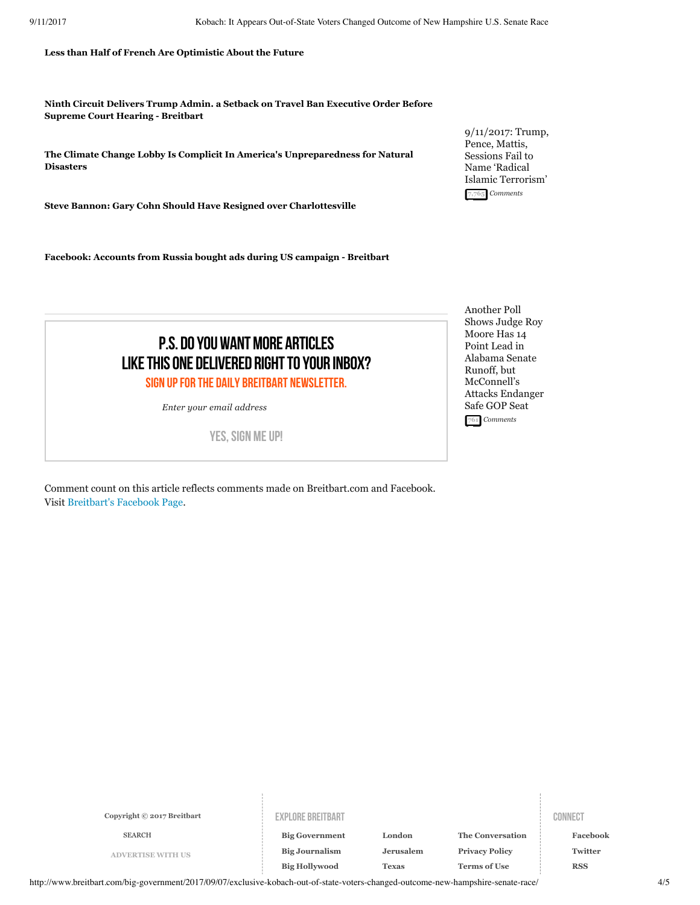**[Less than Half of French Are Optimistic About the Future](http://www.breitbart.com/london/2017/09/05/less-half-french-optimistic-future/)**

**[Ninth Circuit Delivers Trump Admin. a Setback on Travel Ban Executive Order Before](http://www.breitbart.com/big-government/2017/09/10/ninth-circuit-setback-travel-ban-before-supreme-court-hearing/) Supreme Court Hearing - Breitbart** 

**[The Climate Change Lobby Is Complicit In America's Unpreparedness for Natural](http://www.breitbart.com/big-government/2017/09/06/climate-change-lobby-left-america-unprepared-natural-disasters/) Disasters**

**[Steve Bannon: Gary Cohn Should Have Resigned over Charlottesville](http://www.breitbart.com/big-government/2017/09/07/steve-bannon-gary-cohn-should-have-resigned-over-charlottesville/)**

Facebook: Accounts from Russia bought ads during US campaign - Breitbart

[9/11/2017: Trump,](http://www.breitbart.com/jerusalem/2017/09/11/9112017-trump-pence-mattis-sessions-fail-to-name-radical-islamic-terrorism/) Pence, Mattis, Sessions Fail to Name 'Radical Islamic Terrorism' **[7,765](http://www.breitbart.com/jerusalem/2017/09/11/9112017-trump-pence-mattis-sessions-fail-to-name-radical-islamic-terrorism/#disqus_thread)**  *Comments*

P.S. DO YOU WANT MORE ARTICLES LIKE THIS ONE DELIVERED RIGHT TO YOUR INBOX? SIGN UP FOR THE DAILY BREITBART NEWSLETTER.

*Enter your email address*

YES, SIGN ME UP!

<span id="page-3-0"></span>Comment count on this article reflects comments made on Breitbart.com and Facebook. Visit [Breitbart's Facebook Page](https://www.facebook.com/Breitbart).

Another Poll Shows Judge Roy Moore Has 14 Point Lead in Alabama Senate Runoff, but McConnell's [Attacks Endanger](http://www.breitbart.com/big-government/2017/09/11/another-poll-shows-judge-roy-moore-has-14-point-lead-in-alabama-senate-runoff-but-mcconnells-attacks-endanger-safe-gop-seat/) Safe GOP Seat **[761](http://www.breitbart.com/big-government/2017/09/11/another-poll-shows-judge-roy-moore-has-14-point-lead-in-alabama-senate-runoff-but-mcconnells-attacks-endanger-safe-gop-seat/#disqus_thread)**  *Comments*

**Copyright © 2017 Breitbart**

#### EXPLORE BREITBART CONNECT

**[ADVERTISE WITH US](http://www.breitbart.com/advertise-with-us/) [Big Journalism](http://www.breitbart.com/big-journalism/) [Big Hollywood](http://www.breitbart.com/big-hollywood/) [Big Government](http://www.breitbart.com/big-government/) [The Conversation](http://www.breitbart.com/blog/) The Conversation The Conversation** 

**[Jerusalem](http://www.breitbart.com/jerusalem/) [Texas](http://www.breitbart.com/texas/) [London](http://www.breitbart.com/london/)**

**[Privacy Policy](http://www.breitbart.com/privacy-policy/) [Terms of Use](http://www.breitbart.com/terms-of-use/)**

**[Facebook](https://www.facebook.com/Breitbart) [Twitter](https://twitter.com/BreitbartNews) [RSS](http://feeds.feedburner.com/breitbart)**